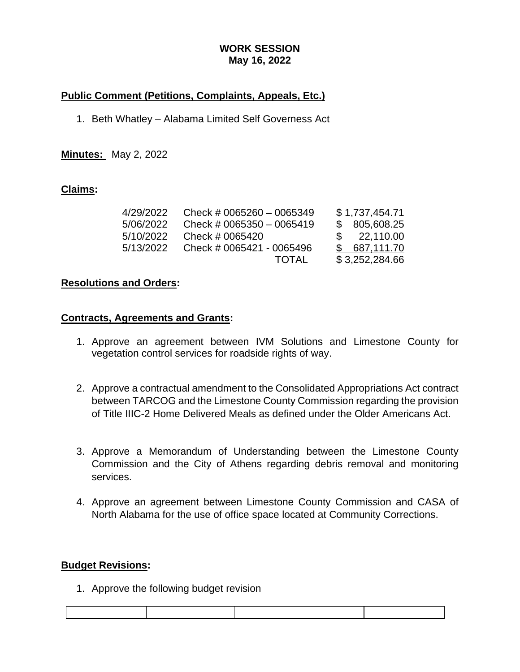# **WORK SESSION May 16, 2022**

# **Public Comment (Petitions, Complaints, Appeals, Etc.)**

1. Beth Whatley – Alabama Limited Self Governess Act

**Minutes:** May 2, 2022

## **Claims:**

| 4/29/2022 | Check # 0065260 $-$ 0065349 | \$1,737,454.71 |
|-----------|-----------------------------|----------------|
| 5/06/2022 | Check # 0065350 $-$ 0065419 | \$805,608.25   |
| 5/10/2022 | Check # 0065420             | \$22,110.00    |
| 5/13/2022 | Check # 0065421 - 0065496   | \$687,111.70   |
|           | <b>TOTAL</b>                | \$3,252,284.66 |

## **Resolutions and Orders:**

### **Contracts, Agreements and Grants:**

- 1. Approve an agreement between IVM Solutions and Limestone County for vegetation control services for roadside rights of way.
- 2. Approve a contractual amendment to the Consolidated Appropriations Act contract between TARCOG and the Limestone County Commission regarding the provision of Title IIIC-2 Home Delivered Meals as defined under the Older Americans Act.
- 3. Approve a Memorandum of Understanding between the Limestone County Commission and the City of Athens regarding debris removal and monitoring services.
- 4. Approve an agreement between Limestone County Commission and CASA of North Alabama for the use of office space located at Community Corrections.

## **Budget Revisions:**

1. Approve the following budget revision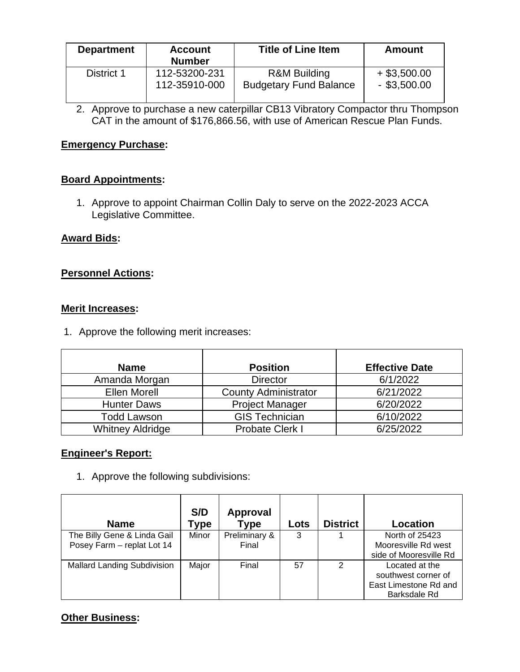| <b>Department</b> | <b>Account</b><br><b>Number</b> | <b>Title of Line Item</b>     | <b>Amount</b>  |
|-------------------|---------------------------------|-------------------------------|----------------|
| District 1        | 112-53200-231                   | <b>R&amp;M Building</b>       | $+$ \$3,500.00 |
|                   | 112-35910-000                   | <b>Budgetary Fund Balance</b> | $-$ \$3,500.00 |

2. Approve to purchase a new caterpillar CB13 Vibratory Compactor thru Thompson CAT in the amount of \$176,866.56, with use of American Rescue Plan Funds.

### **Emergency Purchase:**

### **Board Appointments:**

1. Approve to appoint Chairman Collin Daly to serve on the 2022-2023 ACCA Legislative Committee.

### **Award Bids:**

### **Personnel Actions:**

#### **Merit Increases:**

1. Approve the following merit increases:

| <b>Name</b>             | <b>Position</b>             | <b>Effective Date</b> |
|-------------------------|-----------------------------|-----------------------|
| Amanda Morgan           | <b>Director</b>             | 6/1/2022              |
| <b>Ellen Morell</b>     | <b>County Administrator</b> | 6/21/2022             |
| <b>Hunter Daws</b>      | <b>Project Manager</b>      | 6/20/2022             |
| Todd Lawson             | <b>GIS Technician</b>       | 6/10/2022             |
| <b>Whitney Aldridge</b> | Probate Clerk I             | 6/25/2022             |

#### **Engineer's Report:**

1. Approve the following subdivisions:

| <b>Name</b>                                               | S/D<br>Гуре | Approval<br><b>Type</b> | Lots | <b>District</b> | Location                                                                       |
|-----------------------------------------------------------|-------------|-------------------------|------|-----------------|--------------------------------------------------------------------------------|
| The Billy Gene & Linda Gail<br>Posey Farm - replat Lot 14 | Minor       | Preliminary &<br>Final  | 3    |                 | North of 25423<br>Mooresville Rd west<br>side of Mooresville Rd                |
| <b>Mallard Landing Subdivision</b>                        | Major       | Final                   | 57   | $\mathcal{P}$   | Located at the<br>southwest corner of<br>East Limestone Rd and<br>Barksdale Rd |

## **Other Business:**